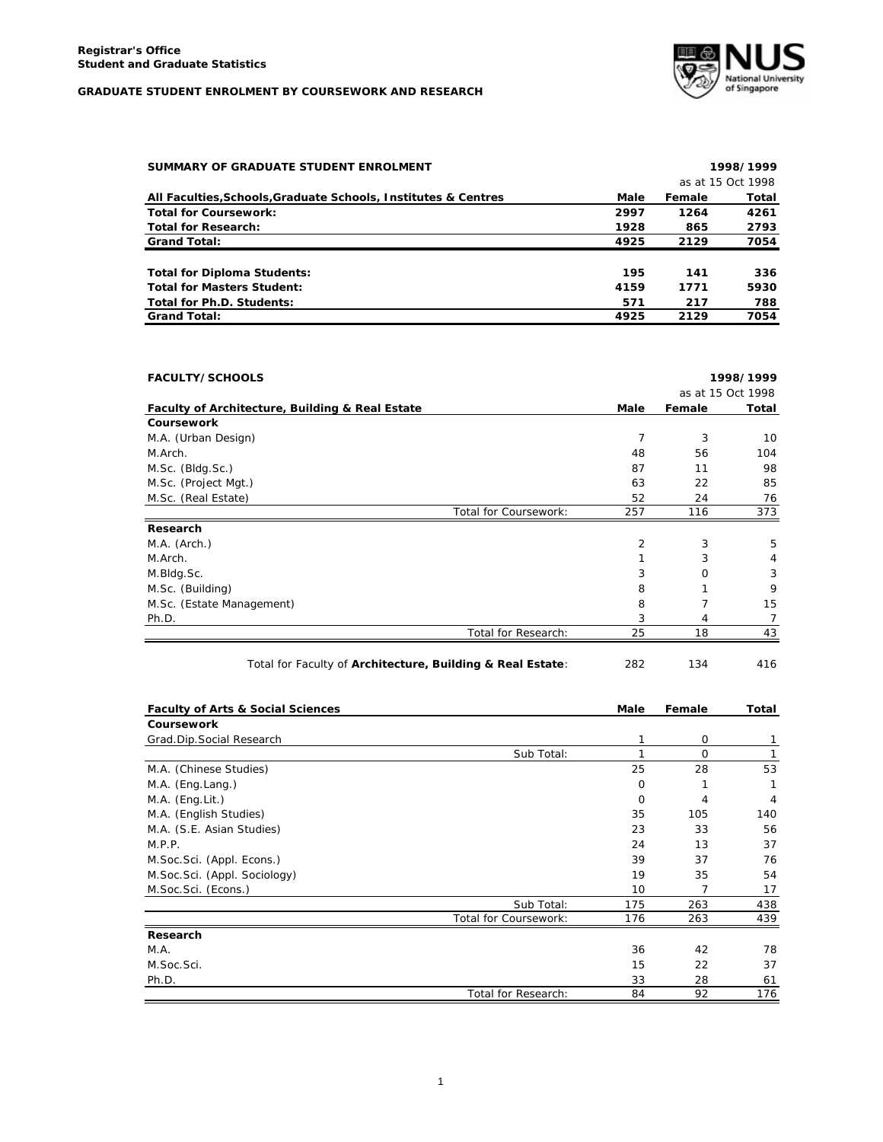

| SUMMARY OF GRADUATE STUDENT ENROLMENT                          |      |        | 1998/1999         |
|----------------------------------------------------------------|------|--------|-------------------|
|                                                                |      |        | as at 15 Oct 1998 |
| All Faculties, Schools, Graduate Schools, Institutes & Centres | Male | Female | Total             |
| <b>Total for Coursework:</b>                                   | 2997 | 1264   | 4261              |
| <b>Total for Research:</b>                                     | 1928 | 865    | 2793              |
| <b>Grand Total:</b>                                            | 4925 | 2129   | 7054              |
| <b>Total for Diploma Students:</b>                             | 195  | 141    | 336               |
| <b>Total for Masters Student:</b>                              | 4159 | 1771   | 5930              |
| Total for Ph.D. Students:                                      | 571  | 217    | 788               |
| <b>Grand Total:</b>                                            | 4925 | 2129   | 7054              |

| <b>FACULTY/SCHOOLS</b>                          |                       |      |          | 1998/1999         |
|-------------------------------------------------|-----------------------|------|----------|-------------------|
|                                                 |                       |      |          | as at 15 Oct 1998 |
| Faculty of Architecture, Building & Real Estate |                       | Male | Female   | Total             |
| Coursework                                      |                       |      |          |                   |
| M.A. (Urban Design)                             |                       | 7    | 3        | 10                |
| M.Arch.                                         |                       | 48   | 56       | 104               |
| M.Sc. (Bldg.Sc.)                                |                       | 87   | 11       | 98                |
| M.Sc. (Project Mgt.)                            |                       | 63   | 22       | 85                |
| M.Sc. (Real Estate)                             |                       | 52   | 24       | 76                |
|                                                 | Total for Coursework: | 257  | 116      | 373               |
| Research                                        |                       |      |          |                   |
| M.A. (Arch.)                                    |                       | 2    | 3        | 5                 |
| M.Arch.                                         |                       |      | 3        | 4                 |
| M.Bldg.Sc.                                      |                       | 3    | $\Omega$ | 3                 |
| M.Sc. (Building)                                |                       | 8    |          | 9                 |
| M.Sc. (Estate Management)                       |                       | 8    |          | 15                |
| Ph.D.                                           |                       | 3    | 4        |                   |
|                                                 | Total for Research:   | 25   | 18       | 43                |

| Total for Faculty of Architecture, Building & Real Estate: | 282 |  | 416 |
|------------------------------------------------------------|-----|--|-----|
|------------------------------------------------------------|-----|--|-----|

| <b>Faculty of Arts &amp; Social Sciences</b> |                       | Male        | Female      | Total |
|----------------------------------------------|-----------------------|-------------|-------------|-------|
| <b>Coursework</b>                            |                       |             |             |       |
| Grad.Dip.Social Research                     |                       | 1           | $\mathbf 0$ |       |
|                                              | Sub Total:            |             | 0           |       |
| M.A. (Chinese Studies)                       |                       | 25          | 28          | 53    |
| M.A. (Eng.Lang.)                             |                       | 0           |             | 1     |
| M.A. (Eng.Lit.)                              |                       | $\mathbf 0$ | 4           | 4     |
| M.A. (English Studies)                       |                       | 35          | 105         | 140   |
| M.A. (S.E. Asian Studies)                    |                       | 23          | 33          | 56    |
| M.P.P.                                       |                       | 24          | 13          | 37    |
| M. Soc. Sci. (Appl. Econs.)                  |                       | 39          | 37          | 76    |
| M.Soc.Sci. (Appl. Sociology)                 |                       | 19          | 35          | 54    |
| M.Soc.Sci. (Econs.)                          |                       | 10          | 7           | 17    |
|                                              | Sub Total:            | 175         | 263         | 438   |
|                                              | Total for Coursework: | 176         | 263         | 439   |
| Research                                     |                       |             |             |       |
| M.A.                                         |                       | 36          | 42          | 78    |
| M.Soc.Sci.                                   |                       | 15          | 22          | 37    |
| Ph.D.                                        |                       | 33          | 28          | 61    |
|                                              | Total for Research:   | 84          | 92          | 176   |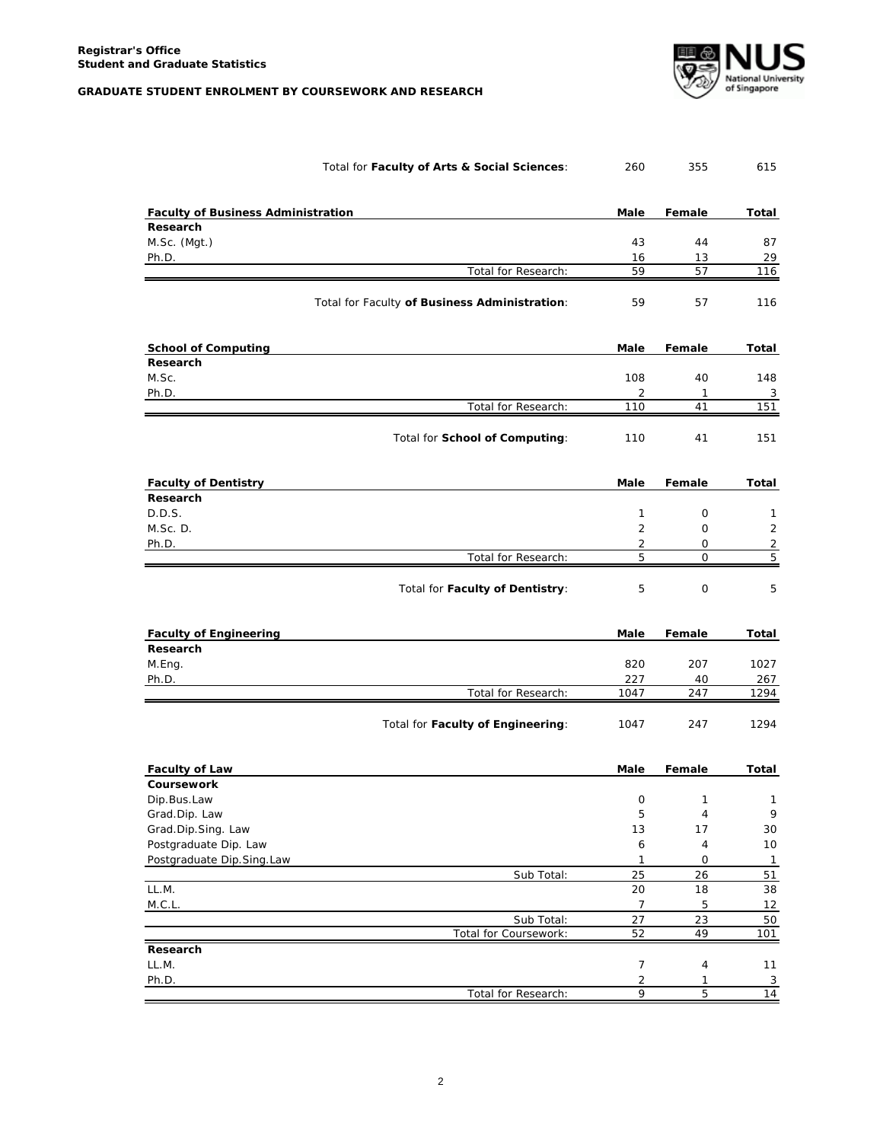

|                                           | Total for Faculty of Arts & Social Sciences:  | 260            | 355          | 615            |
|-------------------------------------------|-----------------------------------------------|----------------|--------------|----------------|
| <b>Faculty of Business Administration</b> |                                               | Male           | Female       | Total          |
| Research                                  |                                               |                |              |                |
| M.Sc. (Mgt.)                              |                                               | 43             | 44           | 87             |
| Ph.D.                                     |                                               | 16             | 13           | 29             |
|                                           | Total for Research:                           | 59             | 57           | 116            |
|                                           | Total for Faculty of Business Administration: | 59             | 57           | 116            |
| <b>School of Computing</b>                |                                               | Male           | Female       | Total          |
| Research                                  |                                               |                |              |                |
| M.Sc.                                     |                                               | 108            | 40           | 148            |
| Ph.D.                                     |                                               | 2              | $\mathbf{1}$ | 3              |
|                                           | Total for Research:                           | 110            | 41           | 151            |
|                                           | Total for School of Computing:                | 110            | 41           | 151            |
| <b>Faculty of Dentistry</b>               |                                               | Male           | Female       | Total          |
| Research                                  |                                               |                |              |                |
| D.D.S.                                    |                                               | 1              | 0            | 1              |
| M.Sc.D.                                   |                                               | $\overline{2}$ | 0            | $\overline{2}$ |
| Ph.D.                                     |                                               | 2              | 0            | $\overline{2}$ |
|                                           | Total for Research:                           | 5              | $\mathsf{O}$ | $\overline{5}$ |
|                                           | Total for Faculty of Dentistry:               | 5              | 0            | 5              |
| <b>Faculty of Engineering</b>             |                                               | Male           | Female       | Total          |
| Research                                  |                                               |                |              |                |
| M.Eng.                                    |                                               | 820            | 207          | 1027           |
| Ph.D.                                     |                                               | 227            | 40           | 267            |
|                                           | Total for Research:                           | 1047           | 247          | 1294           |
|                                           | Total for Faculty of Engineering:             | 1047           | 247          | 1294           |
| <b>Faculty of Law</b>                     |                                               | Male           | Female       | Total          |
| Coursework                                |                                               |                |              |                |
| Dip.Bus.Law                               |                                               | 0              | 1            | 1              |
| Grad.Dip. Law                             |                                               | 5              | $\sqrt{4}$   | 9              |
| Grad.Dip.Sing. Law                        |                                               | 13             | 17           | 30             |
| Postgraduate Dip. Law                     |                                               | 6              | 4            | $10$           |
| Postgraduate Dip.Sing.Law                 |                                               | 1              | 0            | $\mathbf{1}$   |
|                                           | Sub Total:                                    | 25             | 26           | 51             |
| LL.M.                                     |                                               | 20             | 18           | 38             |
| M.C.L.                                    |                                               | $\overline{7}$ | 5            | 12             |
|                                           | Sub Total:<br>Total for Coursework:           | 27<br>52       | 23<br>49     | 50<br>101      |
| Research                                  |                                               |                |              |                |
| LL.M.                                     |                                               | 7              | 4            | 11             |
| Ph.D.                                     |                                               | 2              | 1            | $\overline{3}$ |
|                                           | Total for Research:                           | 9              | 5            | 14             |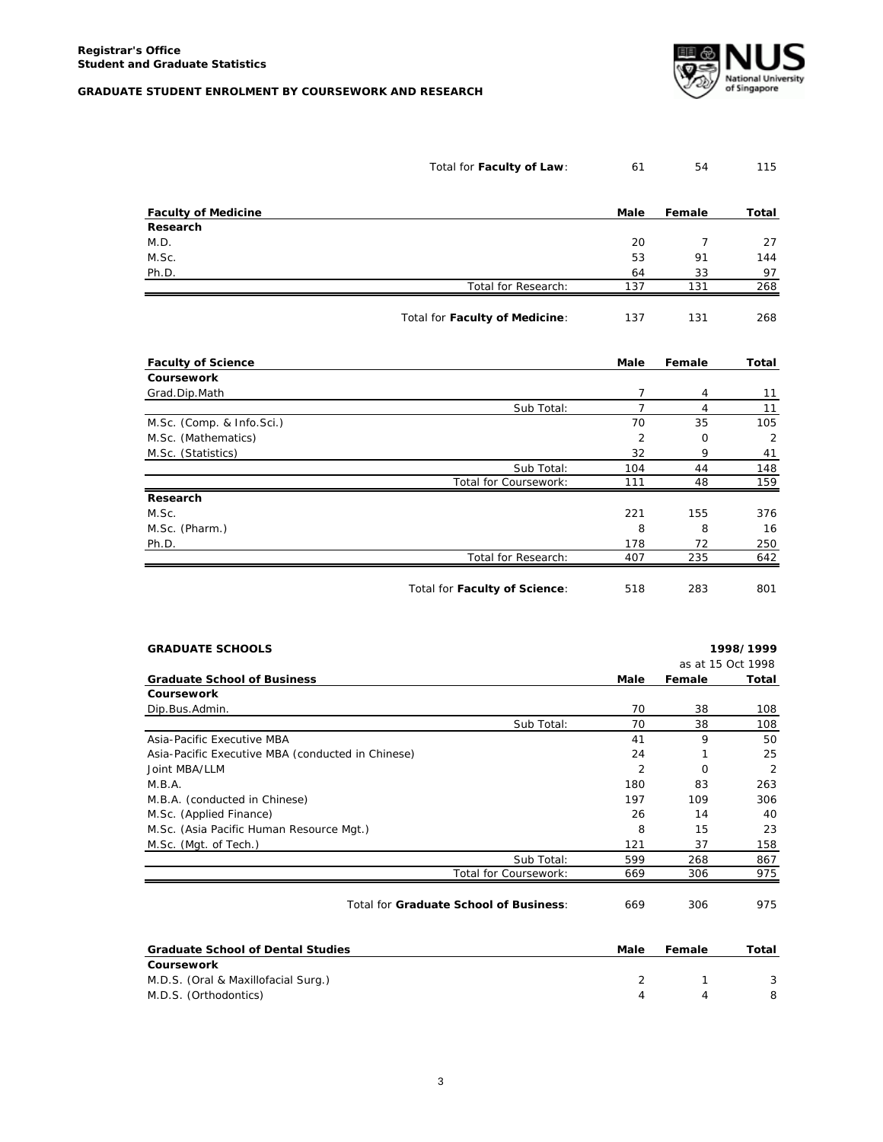

|                            | Total for Faculty of Law:      | 61             | 54             | 115   |
|----------------------------|--------------------------------|----------------|----------------|-------|
| <b>Faculty of Medicine</b> |                                | Male           | Female         | Total |
| Research                   |                                |                |                |       |
| M.D.                       |                                | 20             | $\overline{7}$ | 27    |
| M.Sc.                      |                                | 53             | 91             | 144   |
| Ph.D.                      |                                | 64             | 33             | 97    |
|                            | Total for Research:            | 137            | 131            | 268   |
|                            | Total for Faculty of Medicine: | 137            | 131            | 268   |
| <b>Faculty of Science</b>  |                                | Male           | Female         | Total |
| Coursework                 |                                |                |                |       |
| Grad.Dip.Math              |                                | $\overline{7}$ | 4              | 11    |
|                            | Sub Total:                     | $\overline{7}$ | 4              | 11    |
| M.Sc. (Comp. & Info.Sci.)  |                                | 70             | 35             | 105   |
| M.Sc. (Mathematics)        |                                | 2              | $\mathbf 0$    | 2     |
| M.Sc. (Statistics)         |                                | 32             | 9              | 41    |
|                            | Sub Total:                     | 104            | 44             | 148   |
|                            | Total for Coursework:          | 111            | 48             | 159   |
| Research                   |                                |                |                |       |
| M.Sc.                      |                                | 221            | 155            | 376   |
| M.Sc. (Pharm.)             |                                | 8              | 8              | 16    |
| Ph.D.                      |                                | 178            | 72             | 250   |
|                            | Total for Research:            | 407            | 235            | 642   |
|                            | Total for Faculty of Science:  | 518            | 283            | 801   |

| <b>GRADUATE SCHOOLS</b>                           |                       |      |        | 1998/1999         |
|---------------------------------------------------|-----------------------|------|--------|-------------------|
|                                                   |                       |      |        | as at 15 Oct 1998 |
| <b>Graduate School of Business</b>                |                       | Male | Female | Total             |
| Coursework                                        |                       |      |        |                   |
| Dip.Bus.Admin.                                    |                       | 70   | 38     | 108               |
|                                                   | Sub Total:            | 70   | 38     | 108               |
| Asia-Pacific Executive MBA                        |                       | 41   | 9      | 50                |
| Asia-Pacific Executive MBA (conducted in Chinese) |                       | 24   | 1      | 25                |
| Joint MBA/LLM                                     |                       | 2    | 0      | 2                 |
| M.B.A.                                            |                       | 180  | 83     | 263               |
| M.B.A. (conducted in Chinese)                     |                       | 197  | 109    | 306               |
| M.Sc. (Applied Finance)                           |                       | 26   | 14     | 40                |
| M.Sc. (Asia Pacific Human Resource Mgt.)          |                       | 8    | 15     | 23                |
| M.Sc. (Mgt. of Tech.)                             |                       | 121  | 37     | 158               |
|                                                   | Sub Total:            | 599  | 268    | 867               |
|                                                   | Total for Coursework: | 669  | 306    | 975               |

Total for **Graduate School of Business**: 669 306 975

| <b>Graduate School of Dental Studies</b> | Male | Female | Total |
|------------------------------------------|------|--------|-------|
| Coursework                               |      |        |       |
| M.D.S. (Oral & Maxillofacial Surg.)      |      |        |       |
| M.D.S. (Orthodontics)                    |      |        |       |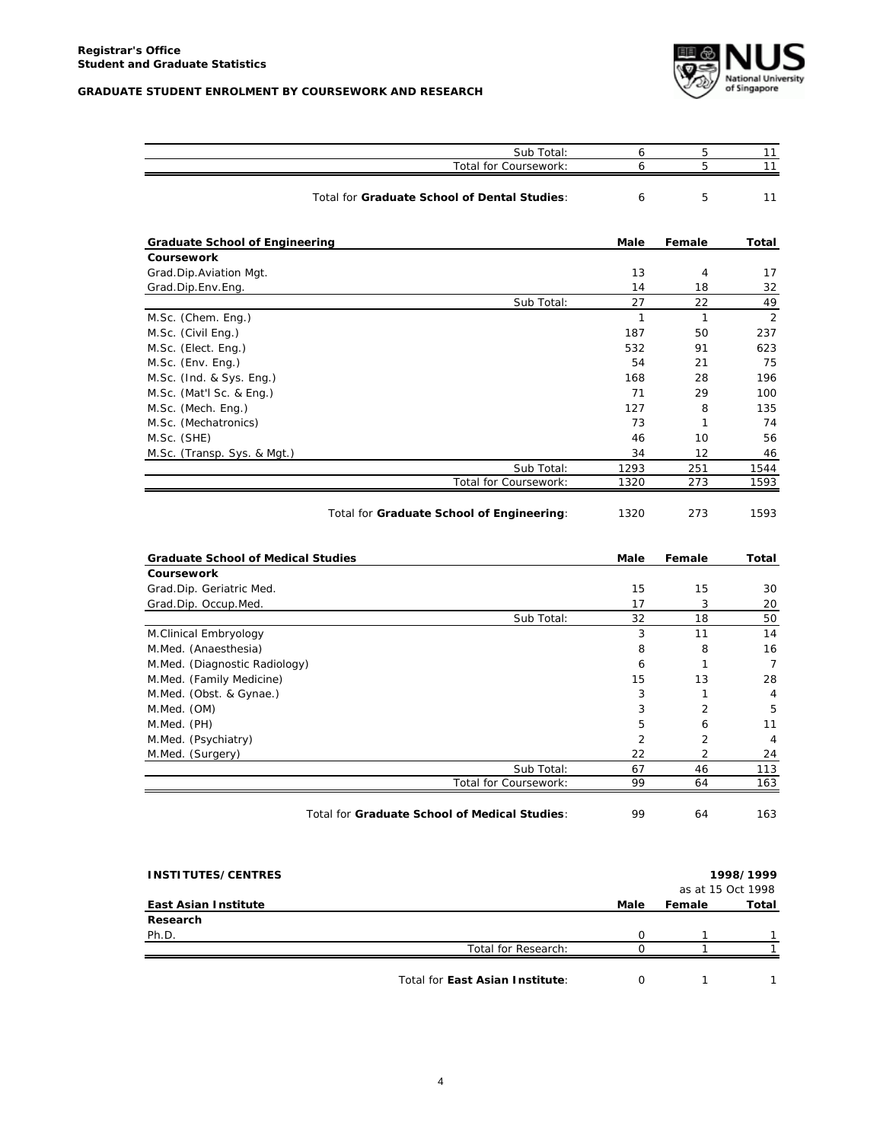

|                                            | Sub Total:                                   | 6         | 5              | 11             |
|--------------------------------------------|----------------------------------------------|-----------|----------------|----------------|
|                                            | Total for Coursework:                        | 6         | 5              | 11             |
|                                            | Total for Graduate School of Dental Studies: | 6         | 5              | 11             |
|                                            |                                              |           |                |                |
| <b>Graduate School of Engineering</b>      |                                              | Male      | Female         | Total          |
| <b>Coursework</b>                          |                                              |           |                |                |
| Grad.Dip.Aviation Mgt.                     |                                              | 13        | 4              | 17             |
| Grad.Dip.Env.Eng.                          |                                              | 14        | 18             | 32             |
|                                            | Sub Total:                                   | 27        | 22             | 49             |
| M.Sc. (Chem. Eng.)                         |                                              | 1         | $\mathbf{1}$   | 2              |
| M.Sc. (Civil Eng.)                         |                                              | 187       | 50             | 237            |
| M.Sc. (Elect. Eng.)                        |                                              | 532       | 91             | 623            |
| M.Sc. (Env. Eng.)                          |                                              | 54        | 21             | 75             |
| M.Sc. (Ind. & Sys. Eng.)                   |                                              | 168       | 28             | 196            |
| M.Sc. (Mat'l Sc. & Eng.)                   |                                              | 71<br>127 | 29             | 100            |
| M.Sc. (Mech. Eng.)                         |                                              |           | 8              | 135            |
| M.Sc. (Mechatronics)                       |                                              | 73        | $\mathbf{1}$   | 74             |
| M.Sc. (SHE)<br>M.Sc. (Transp. Sys. & Mgt.) |                                              | 46<br>34  | 10<br>12       | 56<br>46       |
|                                            | Sub Total:                                   | 1293      | 251            | 1544           |
|                                            | Total for Coursework:                        | 1320      | 273            | 1593           |
|                                            |                                              |           |                |                |
|                                            | Total for Graduate School of Engineering:    | 1320      | 273            | 1593           |
| <b>Graduate School of Medical Studies</b>  |                                              | Male      | Female         | <b>Total</b>   |
| Coursework                                 |                                              |           |                |                |
| Grad.Dip. Geriatric Med.                   |                                              | 15        | 15             | 30             |
| Grad.Dip. Occup.Med.                       |                                              | 17        | 3              | 20             |
|                                            | Sub Total:                                   | 32        | 18             | 50             |
| M.Clinical Embryology                      |                                              | 3         | 11             | 14             |
| M.Med. (Anaesthesia)                       |                                              | 8         | 8              | 16             |
| M.Med. (Diagnostic Radiology)              |                                              | 6         | 1              | $\overline{7}$ |
| M.Med. (Family Medicine)                   |                                              | 15        | 13             | 28             |
| M.Med. (Obst. & Gynae.)                    |                                              | 3         | $\mathbf{1}$   | 4              |
| M.Med. (OM)                                |                                              | 3         | $\overline{2}$ | 5              |

| M.Med. (Psychiatry) |                                               |    |    | $\mathbf{A}$ |
|---------------------|-----------------------------------------------|----|----|--------------|
| M.Med. (Surgery)    |                                               | つつ |    | 24           |
|                     | Sub Total:                                    |    | 46 | 113          |
|                     | Total for Coursework:                         | 99 | 64 | 163          |
|                     | Total for Graduate School of Medical Studies: | 99 | 64 | 163          |

| <b>INSTITUTES/CENTRES</b> |                     |      |        | 1998/1999         |
|---------------------------|---------------------|------|--------|-------------------|
|                           |                     |      |        | as at 15 Oct 1998 |
| East Asian Institute      |                     | Male | Female | Total             |
| Research                  |                     |      |        |                   |
| Ph.D.                     |                     | ∩    |        |                   |
|                           | Total for Research: |      |        |                   |
|                           |                     |      |        |                   |

M.Med. (PH) 5 6 11

Total for **East Asian Institute**: 0 1 1 1